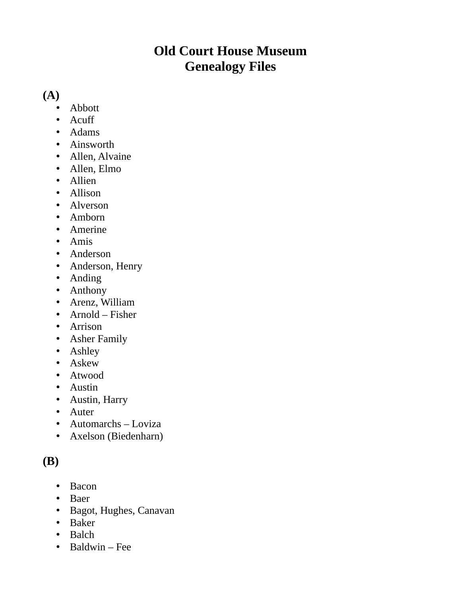### **Old Court House Museum Genealogy Files**

#### **(A)**

- Abbott
- Acuff
- Adams
- Ainsworth
- Allen, Alvaine
- Allen, Elmo
- Allien
- Allison
- Alverson
- Amborn
- Amerine
- Amis
- Anderson
- Anderson, Henry
- Anding
- Anthony
- Arenz, William
- Arnold Fisher
- Arrison
- Asher Family
- Ashley
- Askew
- Atwood
- Austin
- Austin, Harry
- Auter
- Automarchs Loviza
- Axelson (Biedenharn)

### **(B)**

- Bacon
- Baer
- Bagot, Hughes, Canavan
- Baker
- Balch
- Baldwin Fee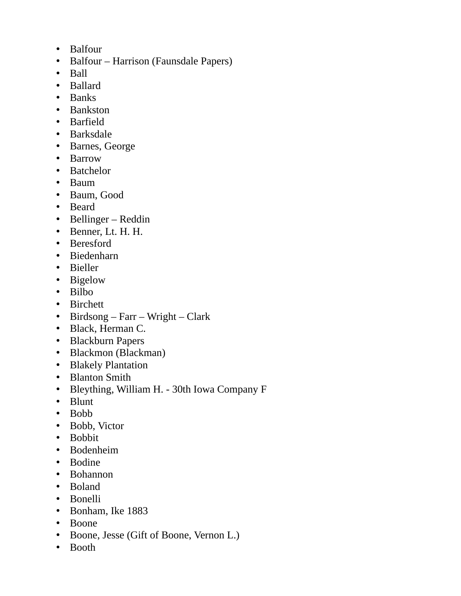- Balfour
- Balfour Harrison (Faunsdale Papers)
- Ball
- Ballard
- Banks
- Bankston
- Barfield
- Barksdale
- Barnes, George
- Barrow
- Batchelor
- Baum
- Baum, Good
- Beard
- Bellinger Reddin
- Benner, Lt. H. H.
- Beresford
- Biedenharn
- Bieller
- Bigelow
- Bilbo
- Birchett
- Birdsong Farr Wright Clark
- Black, Herman C.
- Blackburn Papers
- Blackmon (Blackman)
- Blakely Plantation
- Blanton Smith
- Bleything, William H. 30th Iowa Company F
- Blunt
- Bobb
- Bobb, Victor
- Bobbit
- Bodenheim
- Bodine
- Bohannon
- Boland
- Bonelli
- Bonham, Ike 1883
- Boone
- Boone, Jesse (Gift of Boone, Vernon L.)
- Booth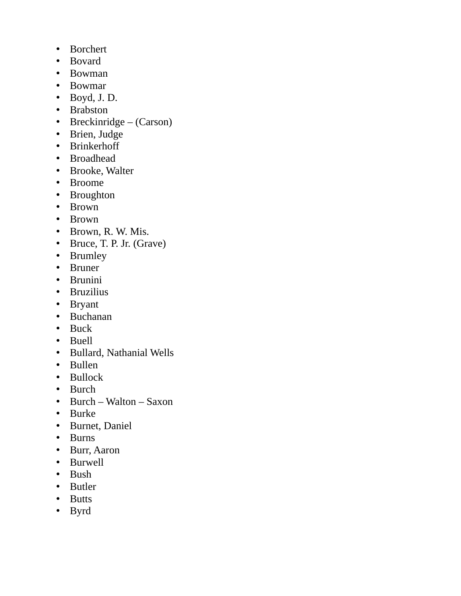- Borchert
- Bovard
- Bowman
- Bowmar
- Boyd, J. D.
- Brabston
- Breckinridge (Carson)
- Brien, Judge
- Brinkerhoff
- Broadhead
- Brooke, Walter
- Broome
- Broughton
- Brown
- Brown
- Brown, R. W. Mis.
- Bruce, T. P. Jr. (Grave)
- Brumley
- Bruner
- Brunini
- Bruzilius
- Bryant
- Buchanan
- Buck
- Buell
- Bullard, Nathanial Wells
- Bullen
- Bullock
- Burch
- Burch Walton Saxon
- Burke
- Burnet, Daniel
- Burns
- Burr, Aaron
- Burwell
- Bush
- Butler
- Butts
- Byrd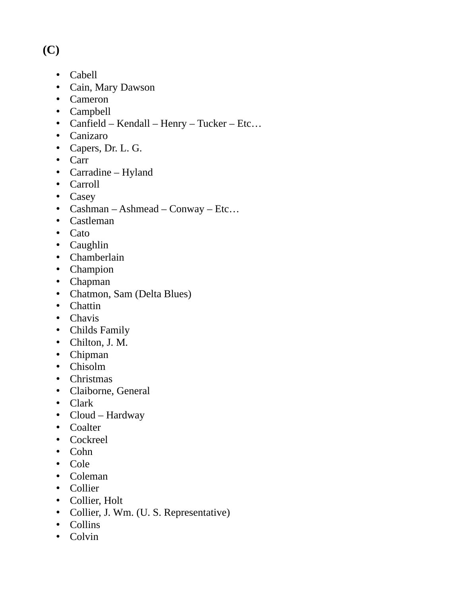## **(C)**

- Cabell
- Cain, Mary Dawson
- Cameron
- Campbell
- Canfield Kendall Henry Tucker Etc…
- Canizaro
- Capers, Dr. L. G.
- Carr
- Carradine Hyland
- Carroll
- Casey
- Cashman Ashmead Conway Etc…
- Castleman
- Cato
- Caughlin
- Chamberlain
- Champion
- Chapman
- Chatmon, Sam (Delta Blues)
- Chattin
- Chavis
- Childs Family
- Chilton, J. M.
- Chipman
- Chisolm
- Christmas
- Claiborne, General
- Clark
- Cloud Hardway
- Coalter
- Cockreel
- Cohn
- Cole
- Coleman
- Collier
- Collier, Holt
- Collier, J. Wm. (U. S. Representative)
- Collins
- Colvin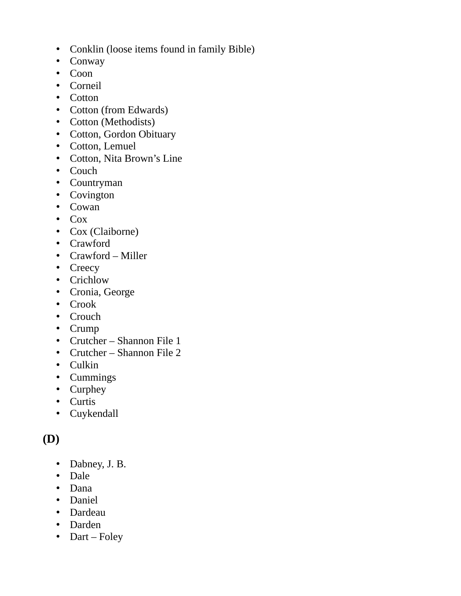- Conklin (loose items found in family Bible)
- Conway
- Coon
- Corneil
- Cotton
- Cotton (from Edwards)
- Cotton (Methodists)
- Cotton, Gordon Obituary
- Cotton, Lemuel
- Cotton, Nita Brown's Line
- Couch
- Countryman
- Covington
- Cowan
- Cox
- Cox (Claiborne)
- Crawford
- Crawford Miller
- Creecy
- Crichlow
- Cronia, George
- Crook
- Crouch
- Crump
- Crutcher Shannon File 1
- Crutcher Shannon File 2
- Culkin
- Cummings
- Curphey
- Curtis
- Cuykendall

### **(D)**

- Dabney, J. B.
- Dale
- Dana
- Daniel
- Dardeau
- Darden
- Dart Foley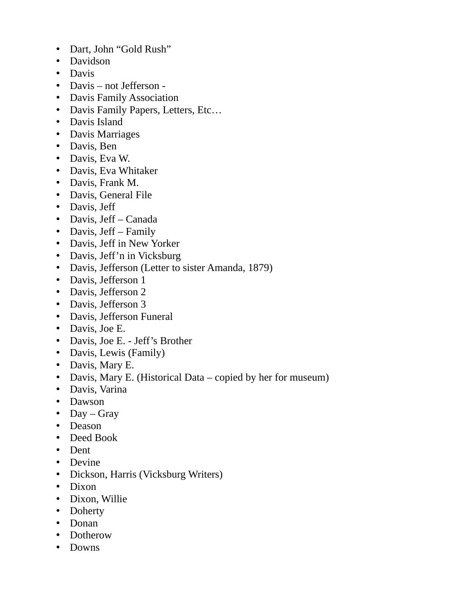- Dart, John "Gold Rush"
- Davidson
- Davis
- Davis not Jefferson -
- Davis Family Association
- Davis Family Papers, Letters, Etc…
- Davis Island
- Davis Marriages
- Davis, Ben
- Davis, Eva W.
- Davis, Eva Whitaker
- Davis, Frank M.
- Davis, General File
- Davis, Jeff
- Davis, Jeff Canada
- Davis, Jeff Family
- Davis, Jeff in New Yorker
- Davis, Jeff'n in Vicksburg
- Davis, Jefferson (Letter to sister Amanda, 1879)
- Davis, Jefferson 1
- Davis, Jefferson 2
- Davis, Jefferson 3
- Davis, Jefferson Funeral
- Davis, Joe E.
- Davis, Joe E. Jeff's Brother
- Davis, Lewis (Family)
- Davis, Mary E.
- Davis, Mary E. (Historical Data copied by her for museum)
- Davis, Varina
- Dawson
- Day Gray
- Deason
- Deed Book
- Dent
- Devine
- Dickson, Harris (Vicksburg Writers)
- Dixon
- Dixon, Willie
- Doherty
- Donan
- Dotherow
- Downs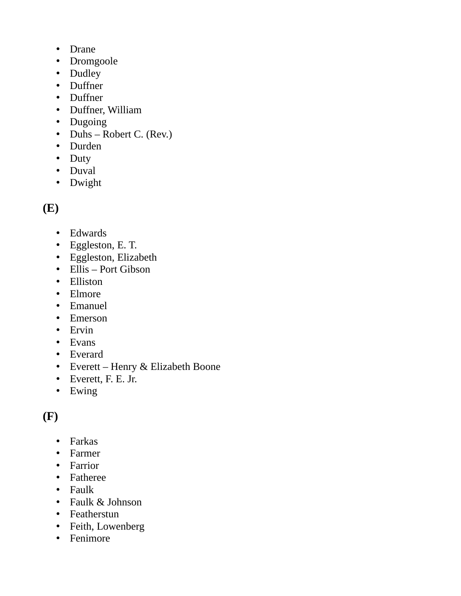- Drane
- Dromgoole
- Dudley
- Duffner
- Duffner
- Duffner, William
- Dugoing
- Duhs Robert C. (Rev.)
- Durden
- Duty
- Duval
- Dwight

# **(E)**

- Edwards
- Eggleston, E. T.
- Eggleston, Elizabeth
- Ellis Port Gibson
- Elliston
- Elmore
- Emanuel
- Emerson
- Ervin
- Evans
- Everard
- Everett Henry & Elizabeth Boone
- Everett, F. E. Jr.
- Ewing

### **(F)**

- Farkas
- Farmer
- Farrior
- Fatheree
- Faulk
- Faulk & Johnson
- Featherstun
- Feith, Lowenberg
- Fenimore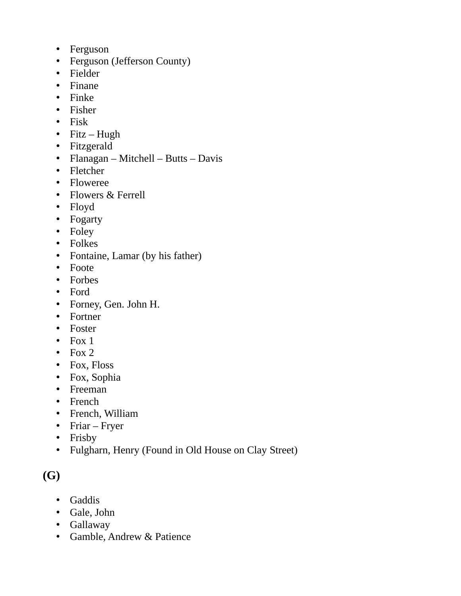- Ferguson
- Ferguson (Jefferson County)
- Fielder
- Finane
- Finke
- Fisher
- Fisk
- Fitz Hugh
- Fitzgerald
- Flanagan Mitchell Butts Davis
- Fletcher
- Floweree
- Flowers & Ferrell
- Floyd
- Fogarty
- Foley
- Folkes
- Fontaine, Lamar (by his father)
- Foote
- Forbes
- Ford
- Forney, Gen. John H.
- Fortner
- Foster
- Fox  $1$
- Fox  $2$
- Fox, Floss
- Fox, Sophia
- Freeman
- French
- French, William
- Friar Fryer
- Frisby
- Fulgharn, Henry (Found in Old House on Clay Street)

# **(G)**

- Gaddis
- Gale, John
- Gallaway
- Gamble, Andrew & Patience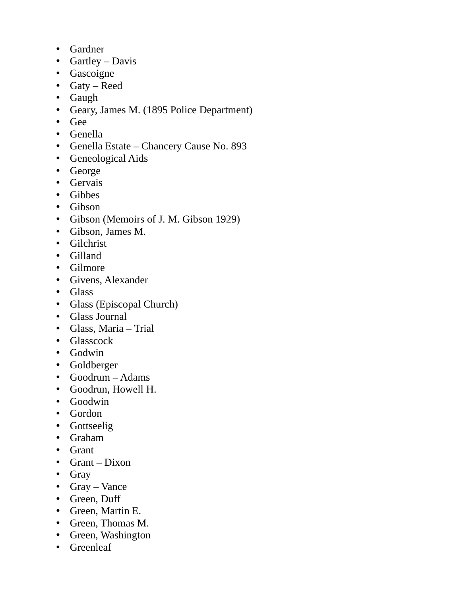- Gardner
- Gartley Davis
- Gascoigne
- Gaty Reed
- Gaugh
- Geary, James M. (1895 Police Department)
- Gee
- Genella
- Genella Estate Chancery Cause No. 893
- Geneological Aids
- George
- Gervais
- Gibbes
- Gibson
- Gibson (Memoirs of J. M. Gibson 1929)
- Gibson, James M.
- Gilchrist
- Gilland
- Gilmore
- Givens, Alexander
- Glass
- Glass (Episcopal Church)
- Glass Journal
- Glass, Maria Trial
- Glasscock
- Godwin
- Goldberger
- Goodrum Adams
- Goodrun, Howell H.
- Goodwin
- Gordon
- Gottseelig
- Graham
- Grant
- Grant Dixon
- Gray
- Gray Vance
- Green, Duff
- Green, Martin E.
- Green, Thomas M.
- Green, Washington
- Greenleaf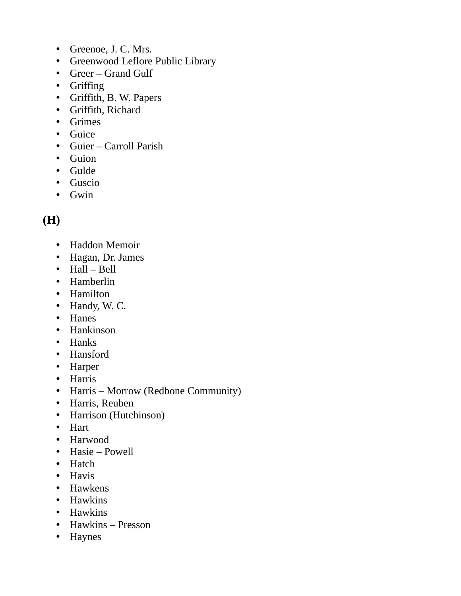- Greenoe, J. C. Mrs.
- Greenwood Leflore Public Library
- Greer Grand Gulf
- Griffing
- Griffith, B. W. Papers
- Griffith, Richard
- Grimes
- Guice
- Guier Carroll Parish
- Guion
- Gulde
- Guscio
- Gwin

### **(H)**

- Haddon Memoir
- Hagan, Dr. James
- Hall Bell
- Hamberlin
- Hamilton
- Handy, W. C.
- Hanes
- Hankinson
- Hanks
- Hansford
- Harper
- Harris
- Harris Morrow (Redbone Community)
- Harris, Reuben
- Harrison (Hutchinson)
- Hart
- Harwood
- Hasie Powell
- Hatch
- Havis
- Hawkens
- Hawkins
- Hawkins
- Hawkins Presson
- Haynes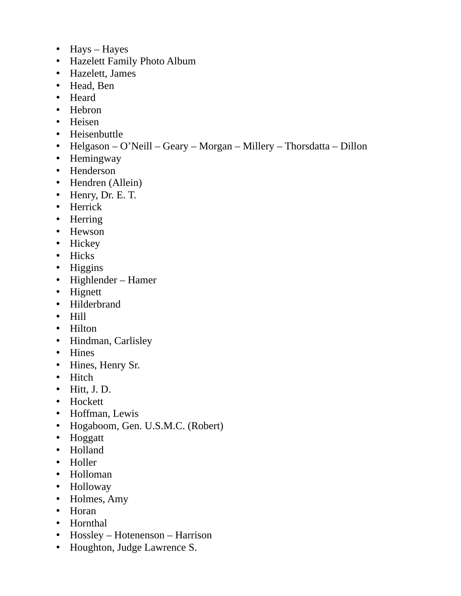- Hays Hayes
- Hazelett Family Photo Album
- Hazelett, James
- Head, Ben
- Heard
- Hebron
- Heisen
- Heisenbuttle
- Helgason O'Neill Geary Morgan Millery Thorsdatta Dillon
- Hemingway
- Henderson
- Hendren (Allein)
- Henry, Dr. E. T.
- Herrick
- Herring
- Hewson
- Hickey
- Hicks
- Higgins
- Highlender Hamer
- Hignett
- Hilderbrand
- Hill
- Hilton
- Hindman, Carlisley
- Hines
- Hines, Henry Sr.
- Hitch
- $\bullet$  Hitt, J.D.
- Hockett
- Hoffman, Lewis
- Hogaboom, Gen. U.S.M.C. (Robert)
- Hoggatt
- Holland
- Holler
- Holloman
- Holloway
- Holmes, Amy
- Horan
- Hornthal
- Hossley Hotenenson Harrison
- Houghton, Judge Lawrence S.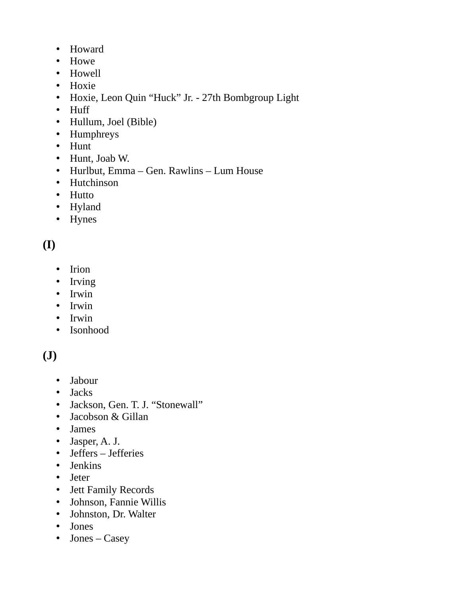- Howard
- Howe
- Howell
- Hoxie
- Hoxie, Leon Quin "Huck" Jr. 27th Bombgroup Light
- Huff
- Hullum, Joel (Bible)
- Humphreys
- Hunt
- Hunt, Joab W.
- Hurlbut, Emma Gen. Rawlins Lum House
- Hutchinson
- Hutto
- Hyland
- Hynes

# **(I)**

- Irion
- Irving
- Irwin
- Irwin
- Irwin
- Isonhood

# **(J)**

- Jabour
- Jacks
- Jackson, Gen. T. J. "Stonewall"
- Jacobson & Gillan
- James
- Jasper, A. J.
- Jeffers Jefferies
- Jenkins
- Jeter
- Jett Family Records
- Johnson, Fannie Willis
- Johnston, Dr. Walter
- Jones
- Jones Casey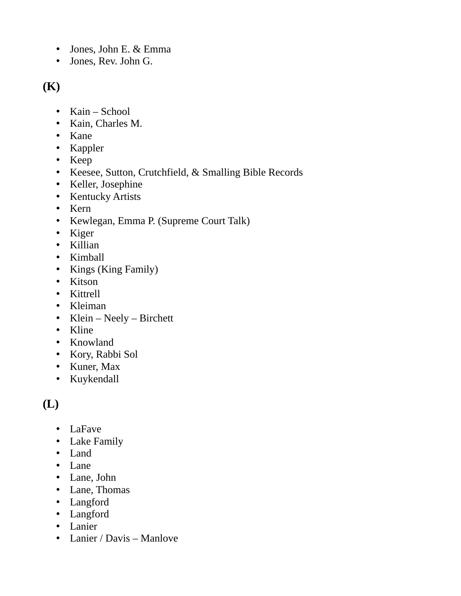- Jones, John E. & Emma
- Jones, Rev. John G.

#### **(K)**

- Kain School
- Kain, Charles M.
- Kane
- Kappler
- Keep
- Keesee, Sutton, Crutchfield, & Smalling Bible Records
- Keller, Josephine
- Kentucky Artists
- Kern
- Kewlegan, Emma P. (Supreme Court Talk)
- Kiger
- Killian
- Kimball
- Kings (King Family)
- Kitson
- Kittrell
- Kleiman
- Klein Neely Birchett
- Kline
- Knowland
- Kory, Rabbi Sol
- Kuner, Max
- Kuykendall

# **(L)**

- LaFave
- Lake Family
- Land
- Lane
- Lane, John
- Lane, Thomas
- Langford
- Langford
- Lanier
- Lanier / Davis Manlove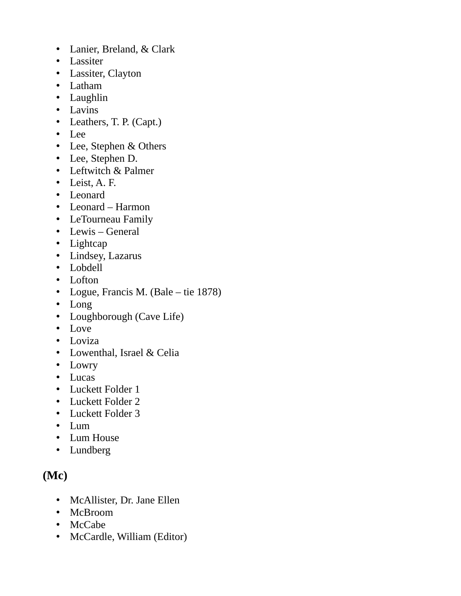- Lanier, Breland, & Clark
- Lassiter
- Lassiter, Clayton
- Latham
- Laughlin
- Lavins
- Leathers, T. P. (Capt.)
- Lee
- Lee, Stephen & Others
- Lee, Stephen D.
- Leftwitch & Palmer
- Leist, A. F.
- Leonard
- Leonard Harmon
- LeTourneau Family
- Lewis General
- Lightcap
- Lindsey, Lazarus
- Lobdell
- Lofton
- Logue, Francis M. (Bale tie 1878)
- Long
- Loughborough (Cave Life)
- Love
- Loviza
- Lowenthal, Israel & Celia
- Lowry
- Lucas
- Luckett Folder 1
- Luckett Folder 2
- Luckett Folder 3
- Lum
- Lum House
- Lundberg

### **(Mc)**

- McAllister, Dr. Jane Ellen
- McBroom
- McCabe
- McCardle, William (Editor)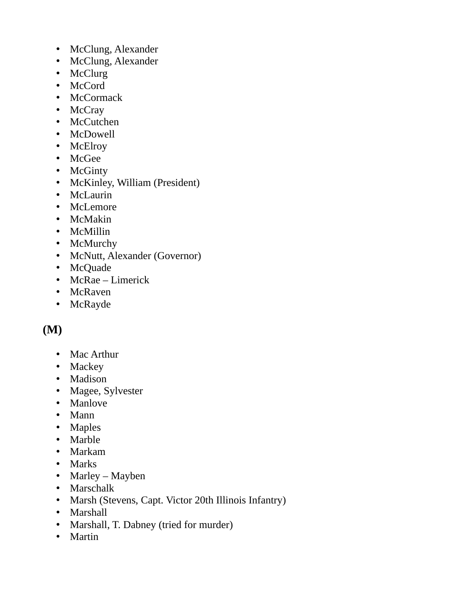- McClung, Alexander
- McClung, Alexander
- McClurg
- McCord
- McCormack
- McCray
- McCutchen
- McDowell
- McElroy
- McGee
- McGinty
- McKinley, William (President)
- McLaurin
- McLemore
- McMakin
- McMillin
- McMurchy
- McNutt, Alexander (Governor)
- McQuade
- McRae Limerick
- McRaven
- McRayde

#### **(M)**

- Mac Arthur
- Mackey
- Madison
- Magee, Sylvester
- Manlove
- Mann
- Maples
- Marble
- Markam
- Marks
- Marley Mayben
- Marschalk
- Marsh (Stevens, Capt. Victor 20th Illinois Infantry)
- Marshall
- Marshall, T. Dabney (tried for murder)
- Martin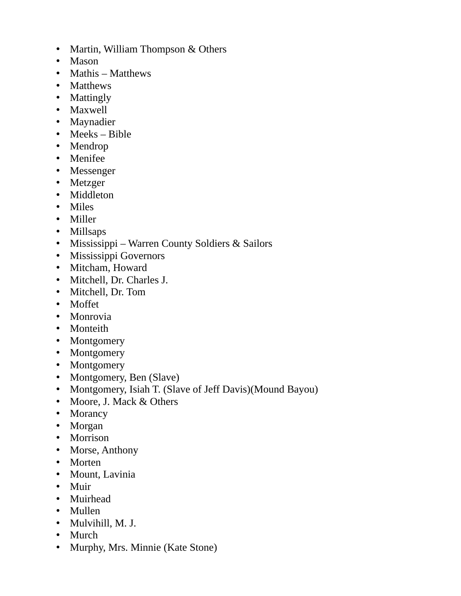- Martin, William Thompson & Others
- Mason
- Mathis Matthews
- Matthews
- Mattingly
- Maxwell
- Maynadier
- Meeks Bible
- Mendrop
- Menifee
- Messenger
- Metzger
- Middleton
- Miles
- Miller
- Millsaps
- Mississippi Warren County Soldiers & Sailors
- Mississippi Governors
- Mitcham, Howard
- Mitchell, Dr. Charles J.
- Mitchell, Dr. Tom
- Moffet
- Monrovia
- Monteith
- Montgomery
- Montgomery
- Montgomery
- Montgomery, Ben (Slave)
- Montgomery, Isiah T. (Slave of Jeff Davis)(Mound Bayou)
- Moore, J. Mack & Others
- Morancy
- Morgan
- Morrison
- Morse, Anthony
- Morten
- Mount, Lavinia
- Muir
- Muirhead
- Mullen
- Mulvihill, M. J.
- Murch
- Murphy, Mrs. Minnie (Kate Stone)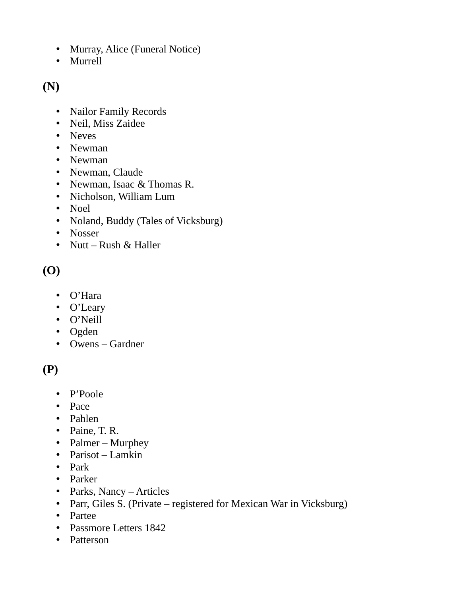- Murray, Alice (Funeral Notice)
- Murrell

**(N)**

- Nailor Family Records
- Neil, Miss Zaidee
- Neves
- Newman
- Newman
- Newman, Claude
- Newman, Isaac & Thomas R.
- Nicholson, William Lum
- Noel
- Noland, Buddy (Tales of Vicksburg)
- Nosser
- Nutt Rush & Haller

# **(O)**

- O'Hara
- O'Leary
- O'Neill
- Ogden
- Owens Gardner

### **(P)**

- P'Poole
- Pace
- Pahlen
- Paine, T. R.
- Palmer Murphey
- Parisot Lamkin
- Park
- Parker
- Parks, Nancy Articles
- Parr, Giles S. (Private registered for Mexican War in Vicksburg)
- Partee
- Passmore Letters 1842
- Patterson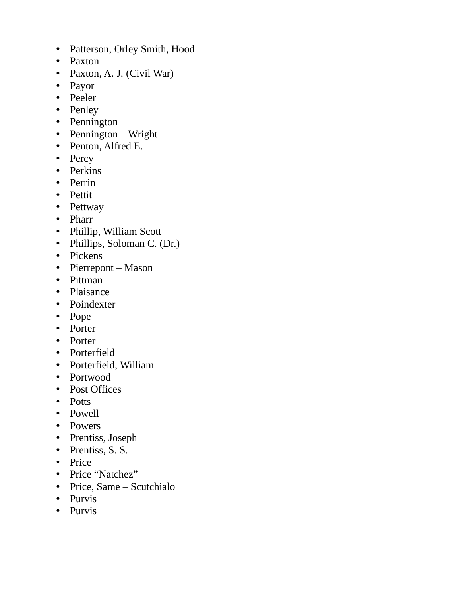- Patterson, Orley Smith, Hood
- Paxton
- Paxton, A. J. (Civil War)
- Payor
- Peeler
- Penley
- Pennington
- Pennington Wright
- Penton, Alfred E.
- Percy
- Perkins
- Perrin
- Pettit
- Pettway
- Pharr
- Phillip, William Scott
- Phillips, Soloman C. (Dr.)
- Pickens
- Pierrepont Mason
- Pittman
- Plaisance
- Poindexter
- Pope
- Porter
- Porter
- Porterfield
- Porterfield, William
- Portwood
- Post Offices
- Potts
- Powell
- Powers
- Prentiss, Joseph
- Prentiss, S. S.
- Price
- Price "Natchez"
- Price, Same Scutchialo
- Purvis
- Purvis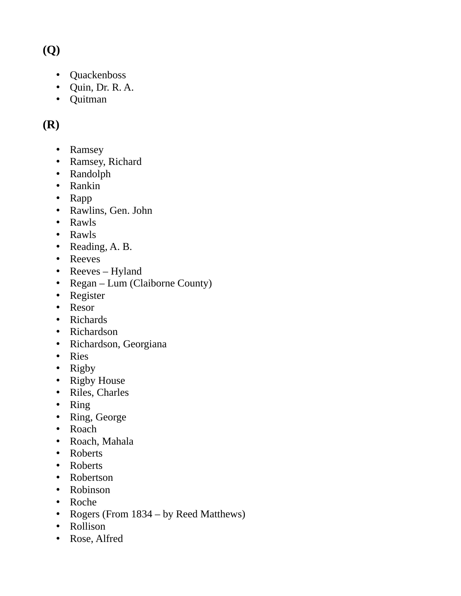## **(Q)**

- Quackenboss
- Quin, Dr. R. A.
- Quitman

### **(R)**

- Ramsey
- Ramsey, Richard
- Randolph
- Rankin
- Rapp
- Rawlins, Gen. John
- Rawls
- Rawls
- Reading, A. B.
- Reeves
- Reeves Hyland
- Regan Lum (Claiborne County)
- Register
- Resor
- Richards
- Richardson
- Richardson, Georgiana
- Ries
- Rigby
- Rigby House
- Riles, Charles
- Ring
- Ring, George
- Roach
- Roach, Mahala
- Roberts
- Roberts
- Robertson
- Robinson
- Roche
- Rogers (From 1834 by Reed Matthews)
- Rollison
- Rose, Alfred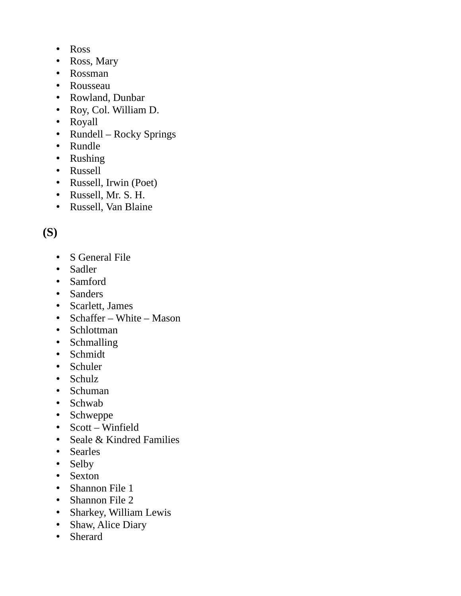- Ross
- Ross, Mary
- Rossman
- Rousseau
- Rowland, Dunbar
- Roy, Col. William D.
- Royall
- Rundell Rocky Springs
- Rundle
- Rushing
- Russell
- Russell, Irwin (Poet)
- Russell, Mr. S. H.
- Russell, Van Blaine

# **(S)**

- S General File
- Sadler
- Samford
- Sanders
- Scarlett, James
- Schaffer White Mason
- Schlottman
- Schmalling
- Schmidt
- Schuler
- Schulz
- Schuman
- Schwab
- Schweppe
- Scott Winfield
- Seale & Kindred Families
- Searles
- Selby
- Sexton
- Shannon File 1
- Shannon File 2
- Sharkey, William Lewis
- Shaw, Alice Diary
- Sherard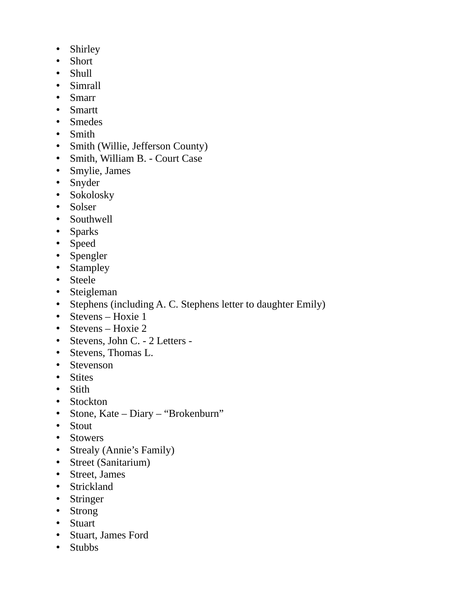- Shirley
- Short
- Shull
- Simrall
- Smarr
- Smartt
- Smedes
- Smith
- Smith (Willie, Jefferson County)
- Smith, William B. Court Case
- Smylie, James
- Snyder
- Sokolosky
- Solser
- Southwell
- Sparks
- Speed
- Spengler
- Stampley
- Steele
- Steigleman
- Stephens (including A. C. Stephens letter to daughter Emily)
- Stevens Hoxie 1
- Stevens Hoxie 2
- Stevens, John C. 2 Letters -
- Stevens, Thomas L.
- Stevenson
- Stites
- Stith
- Stockton
- Stone, Kate Diary "Brokenburn"
- Stout
- Stowers
- Strealy (Annie's Family)
- Street (Sanitarium)
- Street, James
- Strickland
- Stringer
- Strong
- Stuart
- Stuart, James Ford
- Stubbs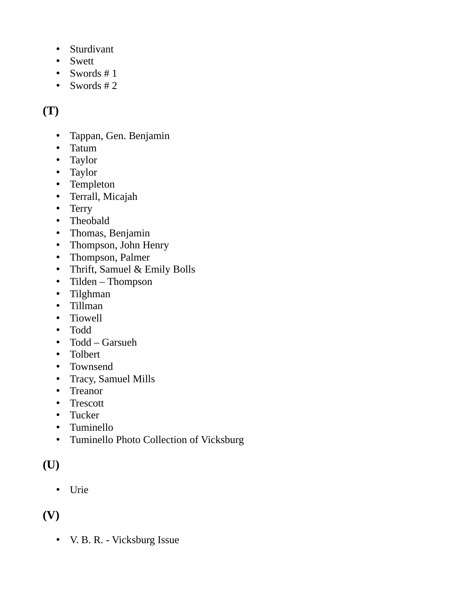- Sturdivant
- Swett
- Swords # 1
- Swords # 2

## **(T)**

- Tappan, Gen. Benjamin
- Tatum
- Taylor
- Taylor
- Templeton
- Terrall, Micajah
- Terry
- Theobald
- Thomas, Benjamin
- Thompson, John Henry
- Thompson, Palmer
- Thrift, Samuel & Emily Bolls
- Tilden Thompson
- Tilghman
- Tillman
- Tiowell
- Todd
- Todd Garsueh
- Tolbert
- Townsend
- Tracy, Samuel Mills
- Treanor
- Trescott
- Tucker
- Tuminello
- Tuminello Photo Collection of Vicksburg

### **(U)**

• Urie

### **(V)**

• V. B. R. - Vicksburg Issue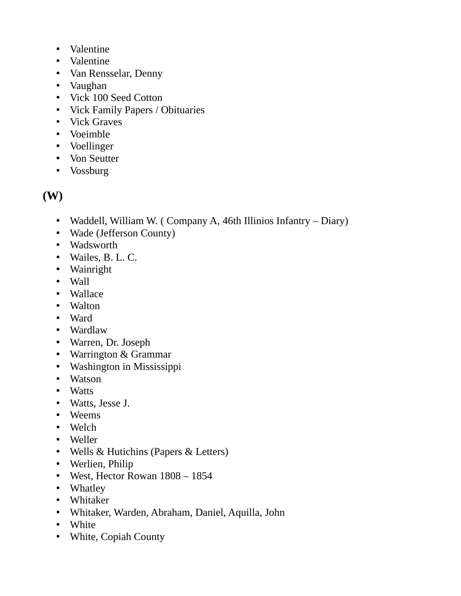- Valentine
- Valentine
- Van Rensselar, Denny
- Vaughan
- Vick 100 Seed Cotton
- Vick Family Papers / Obituaries
- Vick Graves
- Voeimble
- Voellinger
- Von Seutter
- Vossburg

#### **(W)**

- Waddell, William W. (Company A, 46th Illinios Infantry Diary)
- Wade (Jefferson County)
- Wadsworth
- Wailes, B. L. C.
- Wainright
- Wall
- Wallace
- Walton
- Ward
- Wardlaw
- Warren, Dr. Joseph
- Warrington & Grammar
- Washington in Mississippi
- Watson
- Watts
- Watts, Jesse J.
- Weems
- Welch
- Weller
- Wells & Hutichins (Papers & Letters)
- Werlien, Philip
- West, Hector Rowan 1808 1854
- Whatley
- Whitaker
- Whitaker, Warden, Abraham, Daniel, Aquilla, John
- White
- White, Copiah County